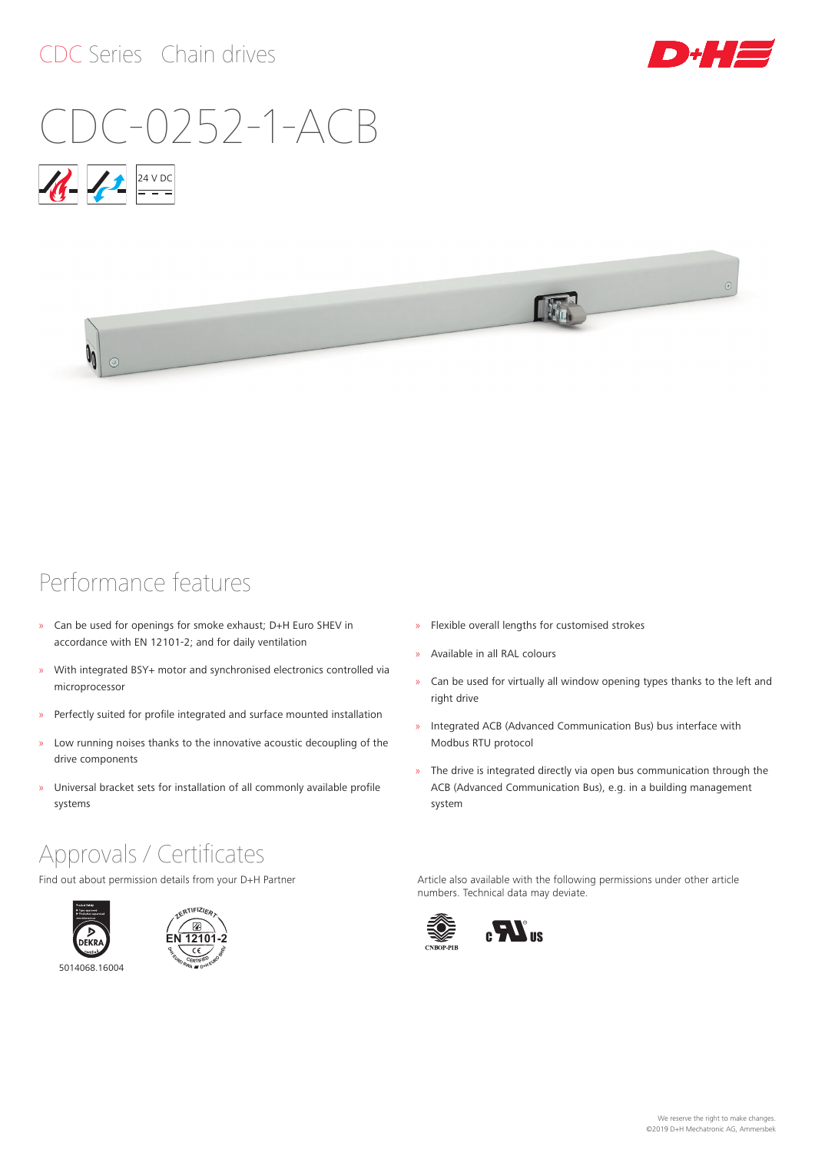### CDC Series Chain drives



 $\circ$ 

# CDC-0252-1-ACB





### Performance features

- » Can be used for openings for smoke exhaust; D+H Euro SHEV in accordance with EN 12101‑2; and for daily ventilation
- » With integrated BSY+ motor and synchronised electronics controlled via microprocessor
- » Perfectly suited for profile integrated and surface mounted installation
- » Low running noises thanks to the innovative acoustic decoupling of the drive components
- » Universal bracket sets for installation of all commonly available profile systems

### Approvals / Certificates

Find out about permission details from your D+H Partner





5014068.16004



- » Flexible overall lengths for customised strokes
- » Available in all RAL colours
- » Can be used for virtually all window opening types thanks to the left and right drive
- » Integrated ACB (Advanced Communication Bus) bus interface with Modbus RTU protocol
- » The drive is integrated directly via open bus communication through the ACB (Advanced Communication Bus), e.g. in a building management system

Article also available with the following permissions under other article numbers. Technical data may deviate.

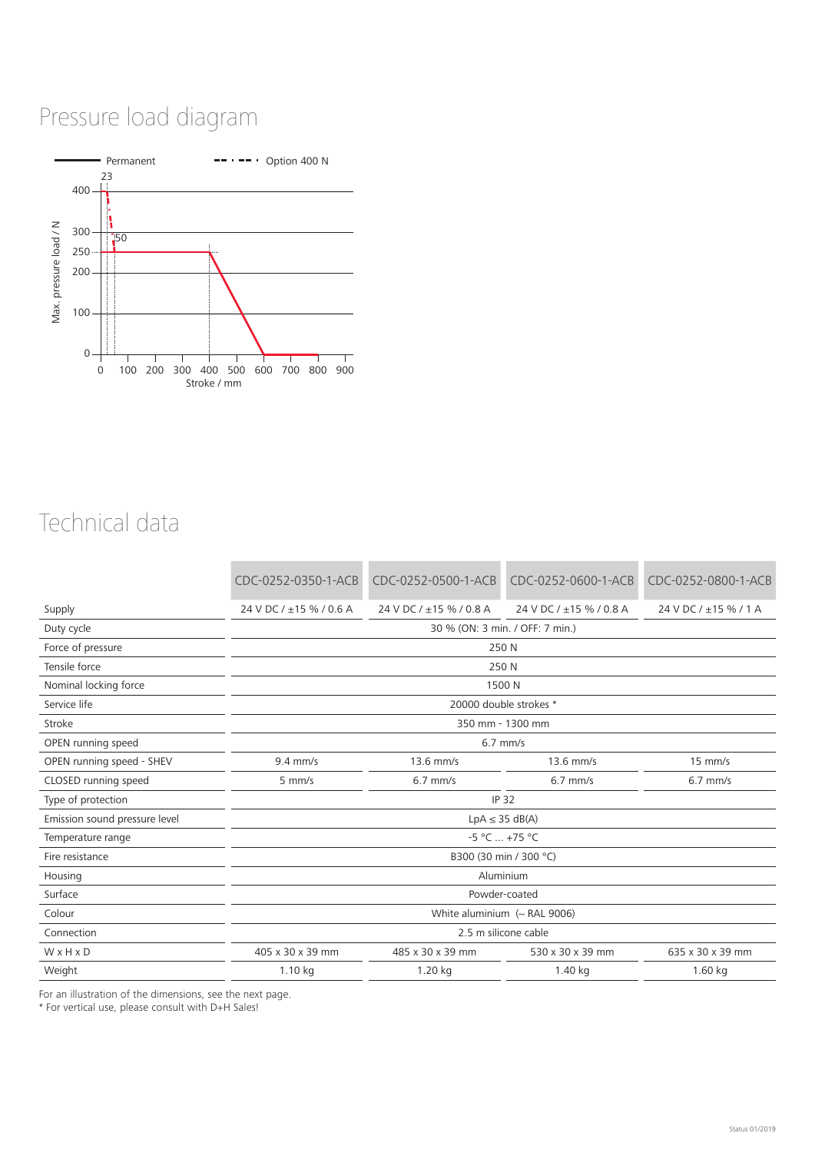## Pressure load diagram



### Technical data

|                               | CDC-0252-0350-1-ACB             | CDC-0252-0500-1-ACB     | CDC-0252-0600-1-ACB     | CDC-0252-0800-1-ACB   |  |  |  |
|-------------------------------|---------------------------------|-------------------------|-------------------------|-----------------------|--|--|--|
| Supply                        | 24 V DC / ±15 % / 0.6 A         | 24 V DC / ±15 % / 0.8 A | 24 V DC / ±15 % / 0.8 A | 24 V DC / ±15 % / 1 A |  |  |  |
| Duty cycle                    | 30 % (ON: 3 min. / OFF: 7 min.) |                         |                         |                       |  |  |  |
| Force of pressure             | 250 N                           |                         |                         |                       |  |  |  |
| Tensile force                 | 250 N                           |                         |                         |                       |  |  |  |
| Nominal locking force         | 1500 N                          |                         |                         |                       |  |  |  |
| Service life                  | 20000 double strokes *          |                         |                         |                       |  |  |  |
| Stroke                        | 350 mm - 1300 mm                |                         |                         |                       |  |  |  |
| OPEN running speed            | $6.7$ mm/s                      |                         |                         |                       |  |  |  |
| OPEN running speed - SHEV     | $9.4$ mm/s                      | $13.6$ mm/s             | 13.6 mm/s               | $15$ mm/s             |  |  |  |
| CLOSED running speed          | $5$ mm/s                        | $6.7$ mm/s              | $6.7$ mm/s              | $6.7$ mm/s            |  |  |  |
| Type of protection            | <b>IP 32</b>                    |                         |                         |                       |  |  |  |
| Emission sound pressure level | $LpA \leq 35 dB(A)$             |                         |                         |                       |  |  |  |
| Temperature range             | $-5 °C  +75 °C$                 |                         |                         |                       |  |  |  |
| Fire resistance               | B300 (30 min / 300 °C)          |                         |                         |                       |  |  |  |
| Housing                       | Aluminium                       |                         |                         |                       |  |  |  |
| Surface                       | Powder-coated                   |                         |                         |                       |  |  |  |
| Colour                        | White aluminium $($ - RAL 9006) |                         |                         |                       |  |  |  |
| Connection                    | 2.5 m silicone cable            |                         |                         |                       |  |  |  |
| WxHxD                         | 405 x 30 x 39 mm                | 485 x 30 x 39 mm        | 530 x 30 x 39 mm        | 635 x 30 x 39 mm      |  |  |  |
| Weight                        | 1.10 kg                         | 1.20 kg                 | 1.40 kg                 | 1.60 kg               |  |  |  |

For an illustration of the dimensions, see the next page.

\* For vertical use, please consult with D+H Sales!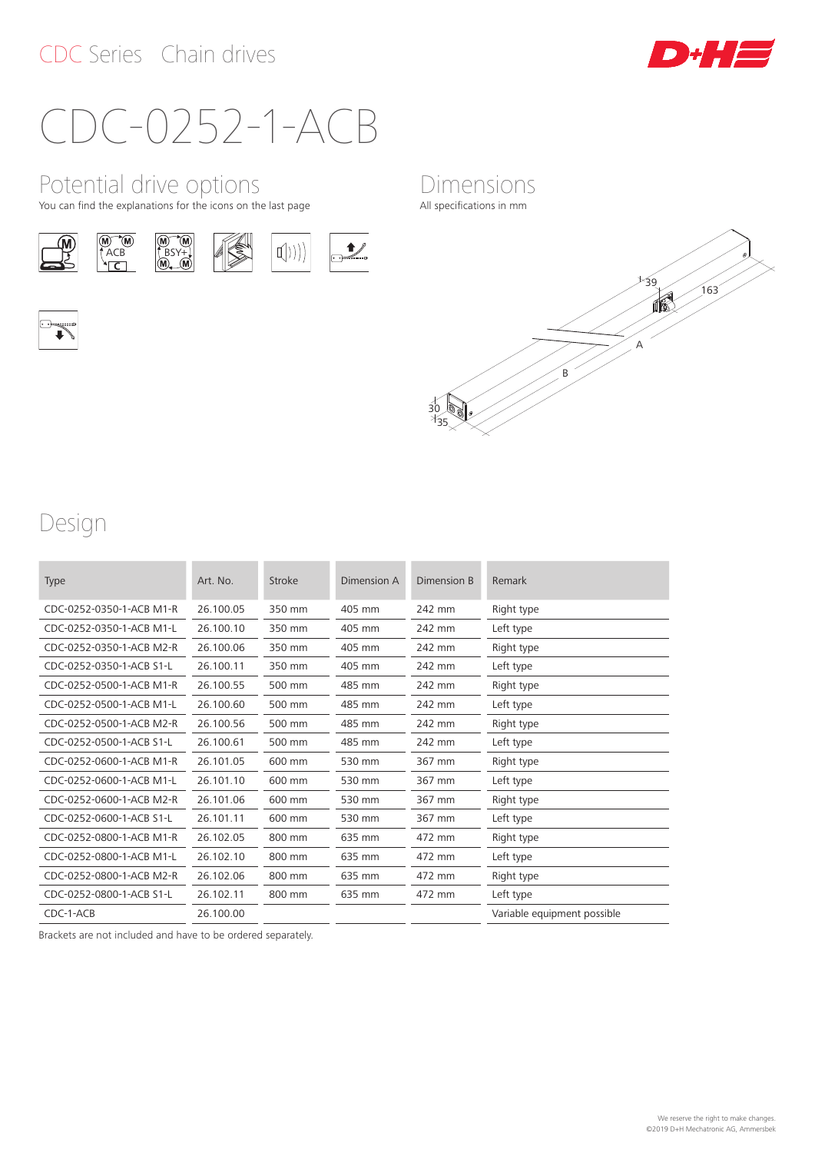

## CDC-0252-1-ACB

Potential drive options

You can find the explanations for the icons on the last page













Dimensions All specifications in mm

### Design

| <b>Type</b>              | Art. No.  | Stroke | Dimension A | Dimension B | Remark                      |
|--------------------------|-----------|--------|-------------|-------------|-----------------------------|
| CDC-0252-0350-1-ACB M1-R | 26.100.05 | 350 mm | 405 mm      | 242 mm      | Right type                  |
| CDC-0252-0350-1-ACB M1-L | 26.100.10 | 350 mm | 405 mm      | 242 mm      | Left type                   |
| CDC-0252-0350-1-ACB M2-R | 26.100.06 | 350 mm | 405 mm      | 242 mm      | Right type                  |
| CDC-0252-0350-1-ACB S1-L | 26.100.11 | 350 mm | 405 mm      | 242 mm      | Left type                   |
| CDC-0252-0500-1-ACB M1-R | 26.100.55 | 500 mm | 485 mm      | 242 mm      | Right type                  |
| CDC-0252-0500-1-ACB M1-L | 26.100.60 | 500 mm | 485 mm      | 242 mm      | Left type                   |
| CDC-0252-0500-1-ACB M2-R | 26.100.56 | 500 mm | 485 mm      | 242 mm      | Right type                  |
| CDC-0252-0500-1-ACB S1-L | 26.100.61 | 500 mm | 485 mm      | 242 mm      | Left type                   |
| CDC-0252-0600-1-ACB M1-R | 26.101.05 | 600 mm | 530 mm      | 367 mm      | Right type                  |
| CDC-0252-0600-1-ACB M1-L | 26.101.10 | 600 mm | 530 mm      | 367 mm      | Left type                   |
| CDC-0252-0600-1-ACB M2-R | 26.101.06 | 600 mm | 530 mm      | 367 mm      | Right type                  |
| CDC-0252-0600-1-ACB S1-L | 26.101.11 | 600 mm | 530 mm      | 367 mm      | Left type                   |
| CDC-0252-0800-1-ACB M1-R | 26.102.05 | 800 mm | 635 mm      | 472 mm      | Right type                  |
| CDC-0252-0800-1-ACB M1-L | 26.102.10 | 800 mm | 635 mm      | 472 mm      | Left type                   |
| CDC-0252-0800-1-ACB M2-R | 26.102.06 | 800 mm | 635 mm      | 472 mm      | Right type                  |
| CDC-0252-0800-1-ACB S1-L | 26.102.11 | 800 mm | 635 mm      | 472 mm      | Left type                   |
| CDC-1-ACB                | 26.100.00 |        |             |             | Variable equipment possible |

Brackets are not included and have to be ordered separately.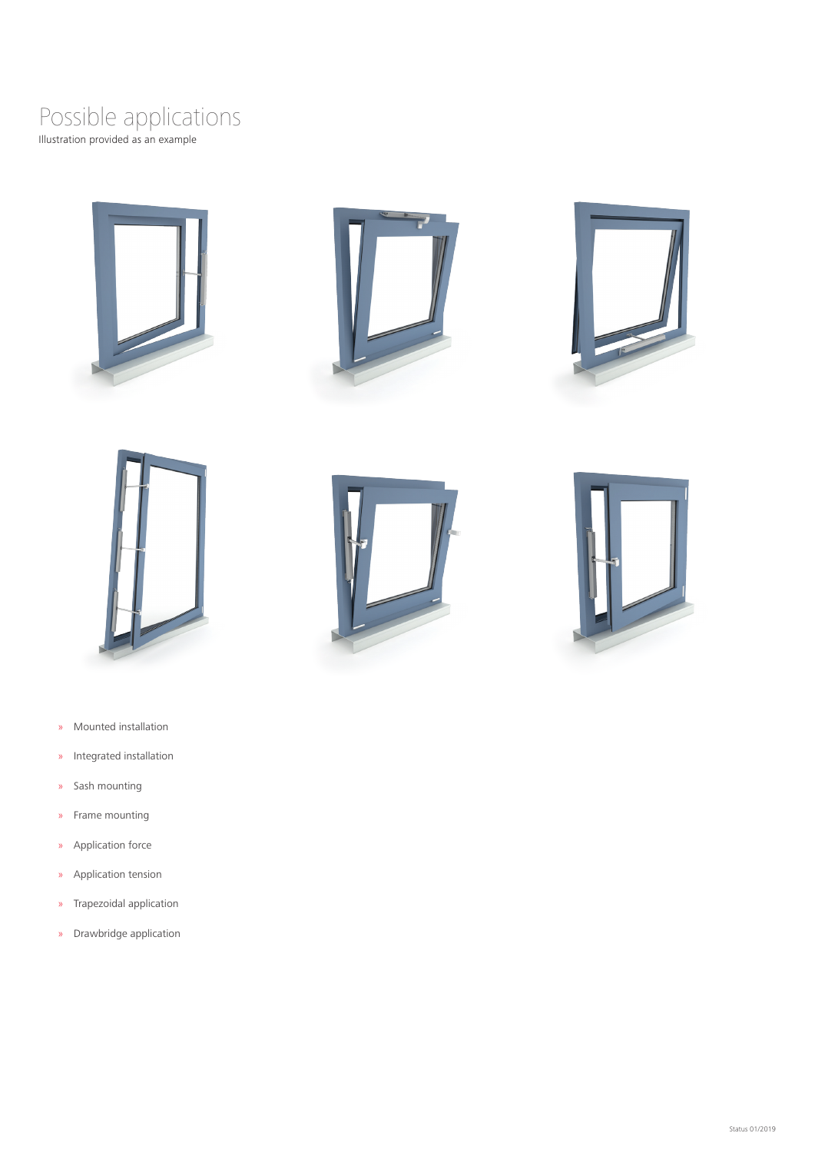### Illustration provided as an example Possible applications









- » Mounted installation
- » Integrated installation
- » Sash mounting
- » Frame mounting
- » Application force
- » Application tension
- » Trapezoidal application
- » Drawbridge application